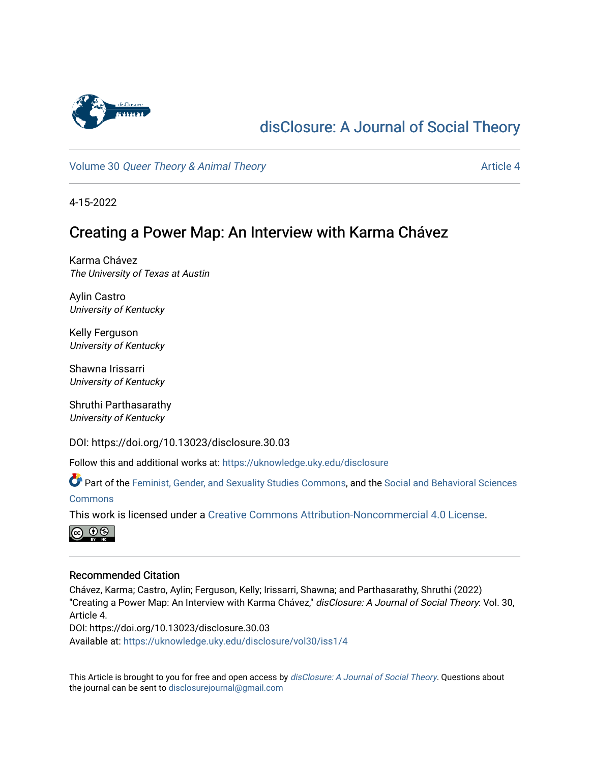

# [disClosure: A Journal of Social Theory](https://uknowledge.uky.edu/disclosure)

Volume 30 [Queer Theory & Animal Theory](https://uknowledge.uky.edu/disclosure/vol30) Article 4

4-15-2022

# Creating a Power Map: An Interview with Karma Chávez

Karma Chávez The University of Texas at Austin

Aylin Castro University of Kentucky

Kelly Ferguson University of Kentucky

Shawna Irissarri University of Kentucky

Shruthi Parthasarathy University of Kentucky

DOI: https://doi.org/10.13023/disclosure.30.03

Follow this and additional works at: [https://uknowledge.uky.edu/disclosure](https://uknowledge.uky.edu/disclosure?utm_source=uknowledge.uky.edu%2Fdisclosure%2Fvol30%2Fiss1%2F4&utm_medium=PDF&utm_campaign=PDFCoverPages)

Part of the [Feminist, Gender, and Sexuality Studies Commons](http://network.bepress.com/hgg/discipline/559?utm_source=uknowledge.uky.edu%2Fdisclosure%2Fvol30%2Fiss1%2F4&utm_medium=PDF&utm_campaign=PDFCoverPages), and the [Social and Behavioral Sciences](http://network.bepress.com/hgg/discipline/316?utm_source=uknowledge.uky.edu%2Fdisclosure%2Fvol30%2Fiss1%2F4&utm_medium=PDF&utm_campaign=PDFCoverPages)  **[Commons](http://network.bepress.com/hgg/discipline/316?utm_source=uknowledge.uky.edu%2Fdisclosure%2Fvol30%2Fiss1%2F4&utm_medium=PDF&utm_campaign=PDFCoverPages)** 

This work is licensed under a [Creative Commons Attribution-Noncommercial 4.0 License](https://creativecommons.org/licenses/by-nc/4.0/).



#### Recommended Citation

Chávez, Karma; Castro, Aylin; Ferguson, Kelly; Irissarri, Shawna; and Parthasarathy, Shruthi (2022) "Creating a Power Map: An Interview with Karma Chávez," disClosure: A Journal of Social Theory: Vol. 30, Article 4.

DOI: https://doi.org/10.13023/disclosure.30.03

Available at: [https://uknowledge.uky.edu/disclosure/vol30/iss1/4](https://uknowledge.uky.edu/disclosure/vol30/iss1/4?utm_source=uknowledge.uky.edu%2Fdisclosure%2Fvol30%2Fiss1%2F4&utm_medium=PDF&utm_campaign=PDFCoverPages)

This Article is brought to you for free and open access by [disClosure: A Journal of Social Theory](https://uknowledge.uky.edu/disclosure). Questions about the journal can be sent to [disclosurejournal@gmail.com](mailto:disclosurejournal@gmail.com)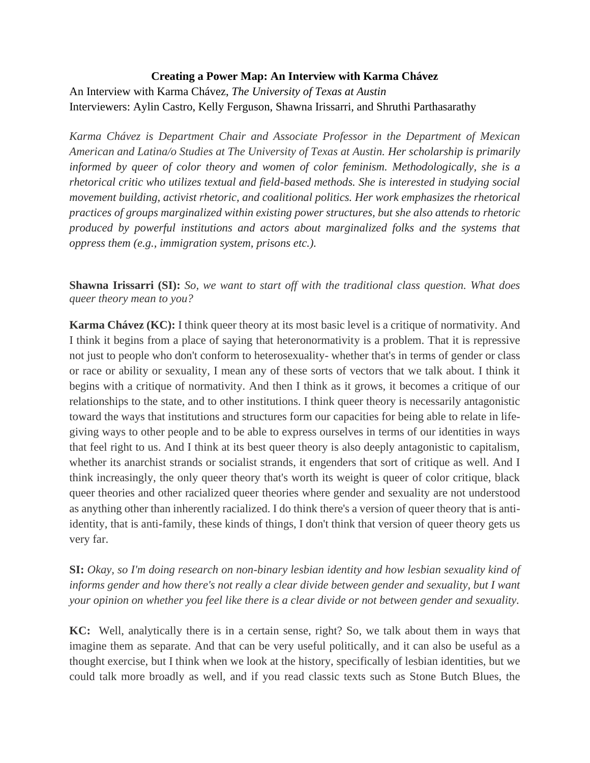#### **Creating a Power Map: An Interview with Karma Chávez**

An Interview with Karma Chávez, *The University of Texas at Austin*  Interviewers: Aylin Castro, Kelly Ferguson, Shawna Irissarri, and Shruthi Parthasarathy

*Karma Chávez is Department Chair and Associate Professor in the Department of Mexican American and Latina/o Studies at The University of Texas at Austin. Her scholarship is primarily informed by queer of color theory and women of color feminism. Methodologically, she is a rhetorical critic who utilizes textual and field-based methods. She is interested in studying social movement building, activist rhetoric, and coalitional politics. Her work emphasizes the rhetorical practices of groups marginalized within existing power structures, but she also attends to rhetoric produced by powerful institutions and actors about marginalized folks and the systems that oppress them (e.g., immigration system, prisons etc.).* 

**Shawna Irissarri (SI):** *So, we want to start off with the traditional class question. What does queer theory mean to you?*

**Karma Chávez (KC):** I think queer theory at its most basic level is a critique of normativity. And I think it begins from a place of saying that heteronormativity is a problem. That it is repressive not just to people who don't conform to heterosexuality- whether that's in terms of gender or class or race or ability or sexuality, I mean any of these sorts of vectors that we talk about. I think it begins with a critique of normativity. And then I think as it grows, it becomes a critique of our relationships to the state, and to other institutions. I think queer theory is necessarily antagonistic toward the ways that institutions and structures form our capacities for being able to relate in lifegiving ways to other people and to be able to express ourselves in terms of our identities in ways that feel right to us. And I think at its best queer theory is also deeply antagonistic to capitalism, whether its anarchist strands or socialist strands, it engenders that sort of critique as well. And I think increasingly, the only queer theory that's worth its weight is queer of color critique, black queer theories and other racialized queer theories where gender and sexuality are not understood as anything other than inherently racialized. I do think there's a version of queer theory that is antiidentity, that is anti-family, these kinds of things, I don't think that version of queer theory gets us very far.

**SI:** *Okay, so I'm doing research on non-binary lesbian identity and how lesbian sexuality kind of*  informs gender and how there's not really a clear divide between gender and sexuality, but I want *your opinion on whether you feel like there is a clear divide or not between gender and sexuality.*

**KC:** Well, analytically there is in a certain sense, right? So, we talk about them in ways that imagine them as separate. And that can be very useful politically, and it can also be useful as a thought exercise, but I think when we look at the history, specifically of lesbian identities, but we could talk more broadly as well, and if you read classic texts such as Stone Butch Blues, the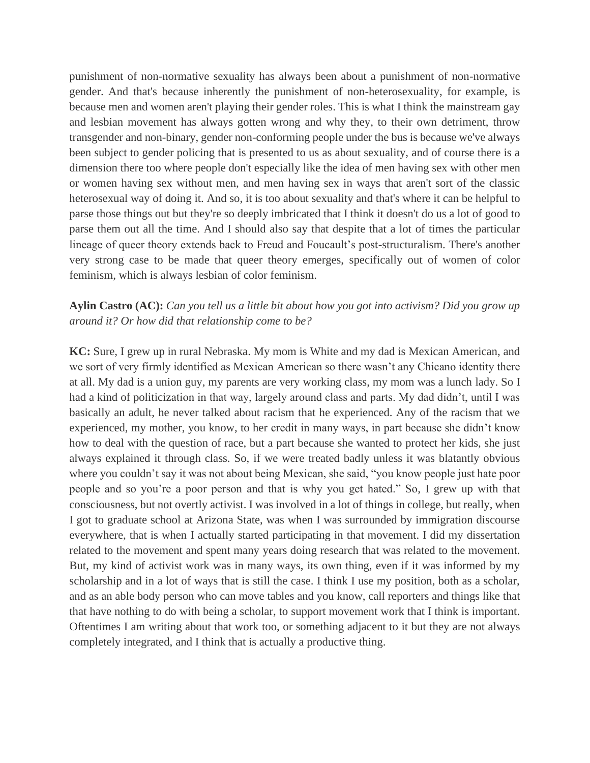punishment of non-normative sexuality has always been about a punishment of non-normative gender. And that's because inherently the punishment of non-heterosexuality, for example, is because men and women aren't playing their gender roles. This is what I think the mainstream gay and lesbian movement has always gotten wrong and why they, to their own detriment, throw transgender and non-binary, gender non-conforming people under the bus is because we've always been subject to gender policing that is presented to us as about sexuality, and of course there is a dimension there too where people don't especially like the idea of men having sex with other men or women having sex without men, and men having sex in ways that aren't sort of the classic heterosexual way of doing it. And so, it is too about sexuality and that's where it can be helpful to parse those things out but they're so deeply imbricated that I think it doesn't do us a lot of good to parse them out all the time. And I should also say that despite that a lot of times the particular lineage of queer theory extends back to Freud and Foucault's post-structuralism. There's another very strong case to be made that queer theory emerges, specifically out of women of color feminism, which is always lesbian of color feminism.

### **Aylin Castro (AC):** *Can you tell us a little bit about how you got into activism? Did you grow up around it? Or how did that relationship come to be?*

**KC:** Sure, I grew up in rural Nebraska. My mom is White and my dad is Mexican American, and we sort of very firmly identified as Mexican American so there wasn't any Chicano identity there at all. My dad is a union guy, my parents are very working class, my mom was a lunch lady. So I had a kind of politicization in that way, largely around class and parts. My dad didn't, until I was basically an adult, he never talked about racism that he experienced. Any of the racism that we experienced, my mother, you know, to her credit in many ways, in part because she didn't know how to deal with the question of race, but a part because she wanted to protect her kids, she just always explained it through class. So, if we were treated badly unless it was blatantly obvious where you couldn't say it was not about being Mexican, she said, "you know people just hate poor people and so you're a poor person and that is why you get hated." So, I grew up with that consciousness, but not overtly activist. I was involved in a lot of things in college, but really, when I got to graduate school at Arizona State, was when I was surrounded by immigration discourse everywhere, that is when I actually started participating in that movement. I did my dissertation related to the movement and spent many years doing research that was related to the movement. But, my kind of activist work was in many ways, its own thing, even if it was informed by my scholarship and in a lot of ways that is still the case. I think I use my position, both as a scholar, and as an able body person who can move tables and you know, call reporters and things like that that have nothing to do with being a scholar, to support movement work that I think is important. Oftentimes I am writing about that work too, or something adjacent to it but they are not always completely integrated, and I think that is actually a productive thing.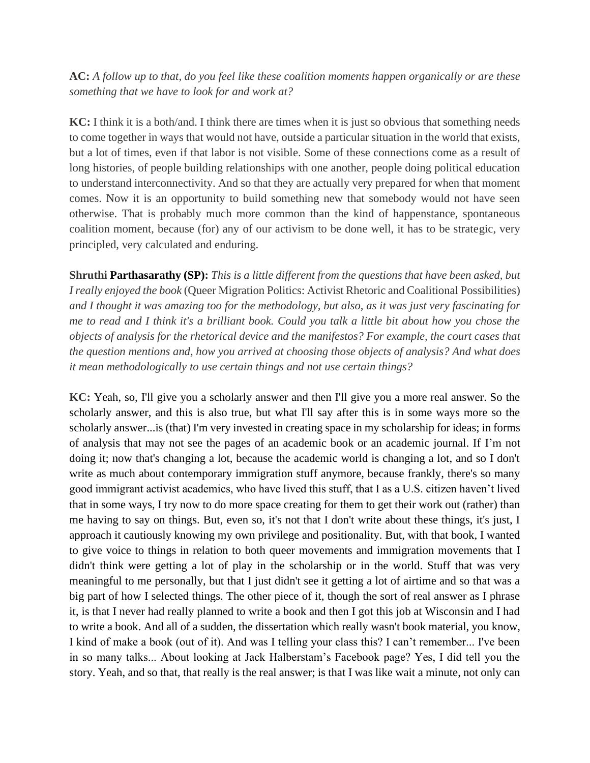**AC:** *A follow up to that, do you feel like these coalition moments happen organically or are these something that we have to look for and work at?*

**KC:** I think it is a both/and. I think there are times when it is just so obvious that something needs to come together in ways that would not have, outside a particular situation in the world that exists, but a lot of times, even if that labor is not visible. Some of these connections come as a result of long histories, of people building relationships with one another, people doing political education to understand interconnectivity. And so that they are actually very prepared for when that moment comes. Now it is an opportunity to build something new that somebody would not have seen otherwise. That is probably much more common than the kind of happenstance, spontaneous coalition moment, because (for) any of our activism to be done well, it has to be strategic, very principled, very calculated and enduring.

**Shruthi Parthasarathy (SP):** *This is a little different from the questions that have been asked, but I really enjoyed the book* (Queer Migration Politics: Activist Rhetoric and Coalitional Possibilities) *and I thought it was amazing too for the methodology, but also, as it was just very fascinating for me to read and I think it's a brilliant book. Could you talk a little bit about how you chose the objects of analysis for the rhetorical device and the manifestos? For example, the court cases that the question mentions and, how you arrived at choosing those objects of analysis? And what does it mean methodologically to use certain things and not use certain things?*

**KC:** Yeah, so, I'll give you a scholarly answer and then I'll give you a more real answer. So the scholarly answer, and this is also true, but what I'll say after this is in some ways more so the scholarly answer...is (that) I'm very invested in creating space in my scholarship for ideas; in forms of analysis that may not see the pages of an academic book or an academic journal. If I'm not doing it; now that's changing a lot, because the academic world is changing a lot, and so I don't write as much about contemporary immigration stuff anymore, because frankly, there's so many good immigrant activist academics, who have lived this stuff, that I as a U.S. citizen haven't lived that in some ways, I try now to do more space creating for them to get their work out (rather) than me having to say on things. But, even so, it's not that I don't write about these things, it's just, I approach it cautiously knowing my own privilege and positionality. But, with that book, I wanted to give voice to things in relation to both queer movements and immigration movements that I didn't think were getting a lot of play in the scholarship or in the world. Stuff that was very meaningful to me personally, but that I just didn't see it getting a lot of airtime and so that was a big part of how I selected things. The other piece of it, though the sort of real answer as I phrase it, is that I never had really planned to write a book and then I got this job at Wisconsin and I had to write a book. And all of a sudden, the dissertation which really wasn't book material, you know, I kind of make a book (out of it). And was I telling your class this? I can't remember... I've been in so many talks... About looking at Jack Halberstam's Facebook page? Yes, I did tell you the story. Yeah, and so that, that really is the real answer; is that I was like wait a minute, not only can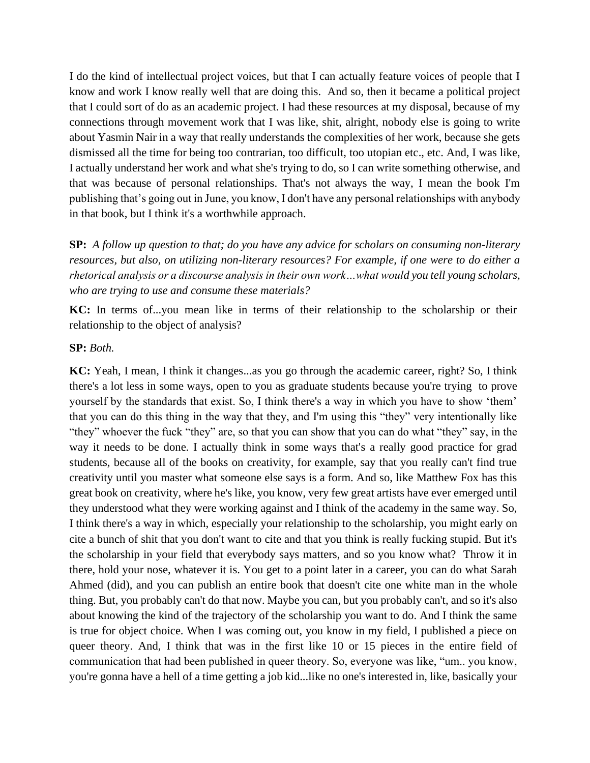I do the kind of intellectual project voices, but that I can actually feature voices of people that I know and work I know really well that are doing this. And so, then it became a political project that I could sort of do as an academic project. I had these resources at my disposal, because of my connections through movement work that I was like, shit, alright, nobody else is going to write about Yasmin Nair in a way that really understands the complexities of her work, because she gets dismissed all the time for being too contrarian, too difficult, too utopian etc., etc. And, I was like, I actually understand her work and what she's trying to do, so I can write something otherwise, and that was because of personal relationships. That's not always the way, I mean the book I'm publishing that's going out in June, you know, I don't have any personal relationships with anybody in that book, but I think it's a worthwhile approach.

**SP:** *A follow up question to that; do you have any advice for scholars on consuming non-literary resources, but also, on utilizing non-literary resources? For example, if one were to do either a rhetorical analysis or a discourse analysis in their own work…what would you tell young scholars, who are trying to use and consume these materials?*

**KC:** In terms of...you mean like in terms of their relationship to the scholarship or their relationship to the object of analysis?

#### **SP:** *Both.*

**KC:** Yeah, I mean, I think it changes...as you go through the academic career, right? So, I think there's a lot less in some ways, open to you as graduate students because you're trying to prove yourself by the standards that exist. So, I think there's a way in which you have to show 'them' that you can do this thing in the way that they, and I'm using this "they" very intentionally like "they" whoever the fuck "they" are, so that you can show that you can do what "they" say, in the way it needs to be done. I actually think in some ways that's a really good practice for grad students, because all of the books on creativity, for example, say that you really can't find true creativity until you master what someone else says is a form. And so, like Matthew Fox has this great book on creativity, where he's like, you know, very few great artists have ever emerged until they understood what they were working against and I think of the academy in the same way. So, I think there's a way in which, especially your relationship to the scholarship, you might early on cite a bunch of shit that you don't want to cite and that you think is really fucking stupid. But it's the scholarship in your field that everybody says matters, and so you know what? Throw it in there, hold your nose, whatever it is. You get to a point later in a career, you can do what Sarah Ahmed (did), and you can publish an entire book that doesn't cite one white man in the whole thing. But, you probably can't do that now. Maybe you can, but you probably can't, and so it's also about knowing the kind of the trajectory of the scholarship you want to do. And I think the same is true for object choice. When I was coming out, you know in my field, I published a piece on queer theory. And, I think that was in the first like 10 or 15 pieces in the entire field of communication that had been published in queer theory. So, everyone was like, "um.. you know, you're gonna have a hell of a time getting a job kid...like no one's interested in, like, basically your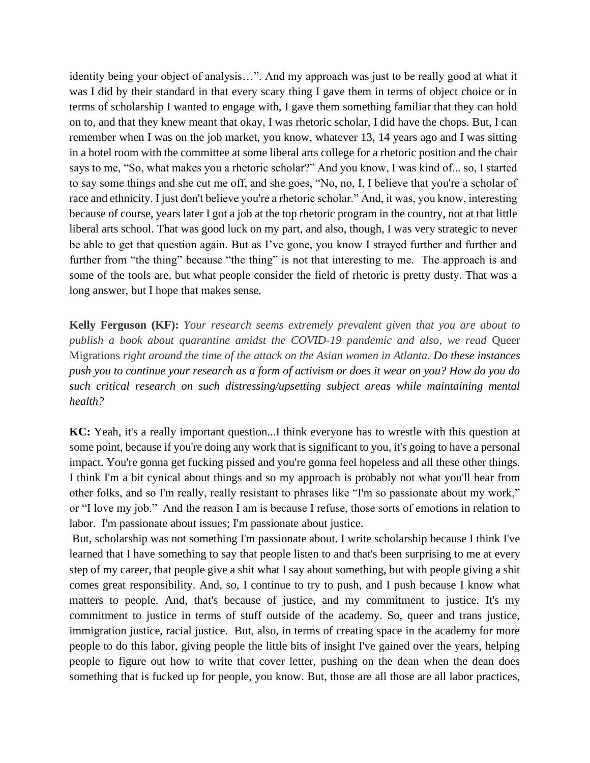identity being your object of analysis…". And my approach was just to be really good at what it was I did by their standard in that every scary thing I gave them in terms of object choice or in terms of scholarship I wanted to engage with, I gave them something familiar that they can hold on to, and that they knew meant that okay, I was rhetoric scholar, I did have the chops. But, I can remember when I was on the job market, you know, whatever 13, 14 years ago and I was sitting in a hotel room with the committee at some liberal arts college for a rhetoric position and the chair says to me, "So, what makes you a rhetoric scholar?" And you know, I was kind of... so, I started to say some things and she cut me off, and she goes, "No, no, I, I believe that you're a scholar of race and ethnicity. I just don't believe you're a rhetoric scholar." And, it was, you know, interesting because of course, years later I got a job at the top rhetoric program in the country, not at that little liberal arts school. That was good luck on my part, and also, though, I was very strategic to never be able to get that question again. But as I've gone, you know I strayed further and further and further from "the thing" because "the thing" is not that interesting to me. The approach is and some of the tools are, but what people consider the field of rhetoric is pretty dusty. That was a long answer, but I hope that makes sense.

**Kelly Ferguson (KF):** *Your research seems extremely prevalent given that you are about to publish a book about quarantine amidst the COVID-19 pandemic and also, we read* Queer Migrations *right around the time of the attack on the Asian women in Atlanta. Do these instances push you to continue your research as a form of activism or does it wear on you? How do you do such critical research on such distressing/upsetting subject areas while maintaining mental health?*

**KC:** Yeah, it's a really important question...I think everyone has to wrestle with this question at some point, because if you're doing any work that is significant to you, it's going to have a personal impact. You're gonna get fucking pissed and you're gonna feel hopeless and all these other things. I think I'm a bit cynical about things and so my approach is probably not what you'll hear from other folks, and so I'm really, really resistant to phrases like "I'm so passionate about my work," or "I love my job." And the reason I am is because I refuse, those sorts of emotions in relation to labor. I'm passionate about issues; I'm passionate about justice.

But, scholarship was not something I'm passionate about. I write scholarship because I think I've learned that I have something to say that people listen to and that's been surprising to me at every step of my career, that people give a shit what I say about something, but with people giving a shit comes great responsibility. And, so, I continue to try to push, and I push because I know what matters to people. And, that's because of justice, and my commitment to justice. It's my commitment to justice in terms of stuff outside of the academy. So, queer and trans justice, immigration justice, racial justice. But, also, in terms of creating space in the academy for more people to do this labor, giving people the little bits of insight I've gained over the years, helping people to figure out how to write that cover letter, pushing on the dean when the dean does something that is fucked up for people, you know. But, those are all those are all labor practices,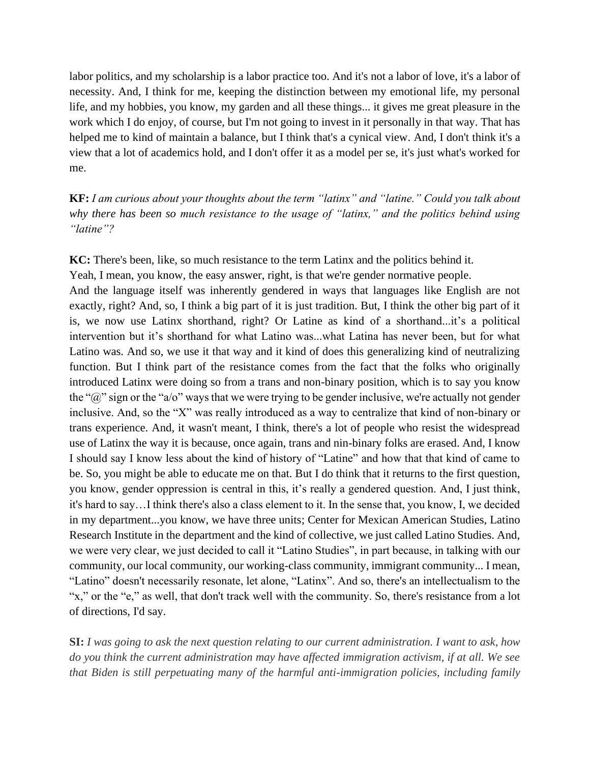labor politics, and my scholarship is a labor practice too. And it's not a labor of love, it's a labor of necessity. And, I think for me, keeping the distinction between my emotional life, my personal life, and my hobbies, you know, my garden and all these things... it gives me great pleasure in the work which I do enjoy, of course, but I'm not going to invest in it personally in that way. That has helped me to kind of maintain a balance, but I think that's a cynical view. And, I don't think it's a view that a lot of academics hold, and I don't offer it as a model per se, it's just what's worked for me.

**KF:** *I am curious about your thoughts about the term "latinx" and "latine." Could you talk about why there has been so much resistance to the usage of "latinx," and the politics behind using "latine"?*

**KC:** There's been, like, so much resistance to the term Latinx and the politics behind it. Yeah, I mean, you know, the easy answer, right, is that we're gender normative people. And the language itself was inherently gendered in ways that languages like English are not exactly, right? And, so, I think a big part of it is just tradition. But, I think the other big part of it is, we now use Latinx shorthand, right? Or Latine as kind of a shorthand...it's a political intervention but it's shorthand for what Latino was...what Latina has never been, but for what Latino was. And so, we use it that way and it kind of does this generalizing kind of neutralizing function. But I think part of the resistance comes from the fact that the folks who originally introduced Latinx were doing so from a trans and non-binary position, which is to say you know the " $\hat{a}$ " sign or the "a/o" ways that we were trying to be gender inclusive, we're actually not gender inclusive. And, so the "X" was really introduced as a way to centralize that kind of non-binary or trans experience. And, it wasn't meant, I think, there's a lot of people who resist the widespread use of Latinx the way it is because, once again, trans and nin-binary folks are erased. And, I know I should say I know less about the kind of history of "Latine" and how that that kind of came to be. So, you might be able to educate me on that. But I do think that it returns to the first question, you know, gender oppression is central in this, it's really a gendered question. And, I just think, it's hard to say…I think there's also a class element to it. In the sense that, you know, I, we decided in my department...you know, we have three units; Center for Mexican American Studies, Latino Research Institute in the department and the kind of collective, we just called Latino Studies. And, we were very clear, we just decided to call it "Latino Studies", in part because, in talking with our community, our local community, our working-class community, immigrant community... I mean, "Latino" doesn't necessarily resonate, let alone, "Latinx". And so, there's an intellectualism to the "x," or the "e," as well, that don't track well with the community. So, there's resistance from a lot of directions, I'd say.

**SI:** *I was going to ask the next question relating to our current administration. I want to ask, how do you think the current administration may have affected immigration activism, if at all. We see that Biden is still perpetuating many of the harmful anti-immigration policies, including family*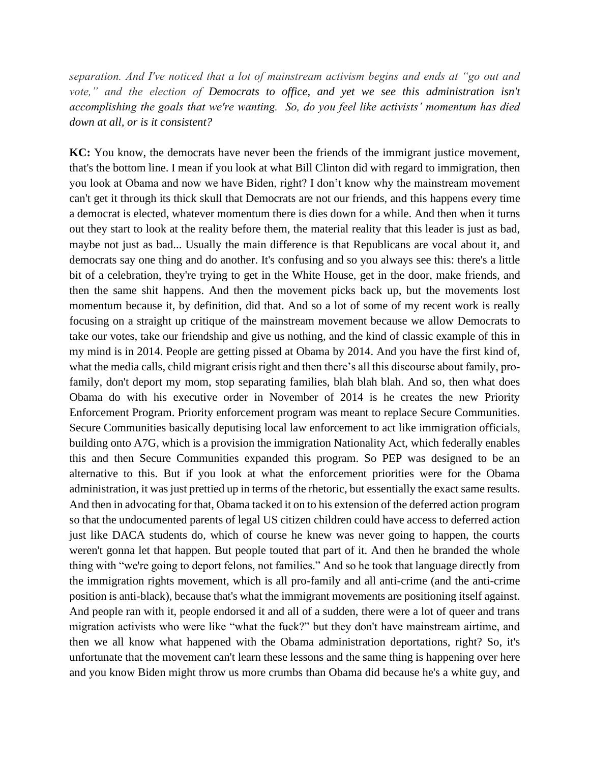*separation. And I've noticed that a lot of mainstream activism begins and ends at "go out and*  vote," and the election of Democrats to office, and yet we see this administration isn't *accomplishing the goals that we're wanting. So, do you feel like activists' momentum has died down at all, or is it consistent?*

**KC:** You know, the democrats have never been the friends of the immigrant justice movement, that's the bottom line. I mean if you look at what Bill Clinton did with regard to immigration, then you look at Obama and now we have Biden, right? I don't know why the mainstream movement can't get it through its thick skull that Democrats are not our friends, and this happens every time a democrat is elected, whatever momentum there is dies down for a while. And then when it turns out they start to look at the reality before them, the material reality that this leader is just as bad, maybe not just as bad... Usually the main difference is that Republicans are vocal about it, and democrats say one thing and do another. It's confusing and so you always see this: there's a little bit of a celebration, they're trying to get in the White House, get in the door, make friends, and then the same shit happens. And then the movement picks back up, but the movements lost momentum because it, by definition, did that. And so a lot of some of my recent work is really focusing on a straight up critique of the mainstream movement because we allow Democrats to take our votes, take our friendship and give us nothing, and the kind of classic example of this in my mind is in 2014. People are getting pissed at Obama by 2014. And you have the first kind of, what the media calls, child migrant crisis right and then there's all this discourse about family, profamily, don't deport my mom, stop separating families, blah blah blah. And so, then what does Obama do with his executive order in November of 2014 is he creates the new Priority Enforcement Program. Priority enforcement program was meant to replace Secure Communities. Secure Communities basically deputising local law enforcement to act like immigration officials, building onto A7G, which is a provision the immigration Nationality Act, which federally enables this and then Secure Communities expanded this program. So PEP was designed to be an alternative to this. But if you look at what the enforcement priorities were for the Obama administration, it was just prettied up in terms of the rhetoric, but essentially the exact same results. And then in advocating for that, Obama tacked it on to his extension of the deferred action program so that the undocumented parents of legal US citizen children could have access to deferred action just like DACA students do, which of course he knew was never going to happen, the courts weren't gonna let that happen. But people touted that part of it. And then he branded the whole thing with "we're going to deport felons, not families." And so he took that language directly from the immigration rights movement, which is all pro-family and all anti-crime (and the anti-crime position is anti-black), because that's what the immigrant movements are positioning itself against. And people ran with it, people endorsed it and all of a sudden, there were a lot of queer and trans migration activists who were like "what the fuck?" but they don't have mainstream airtime, and then we all know what happened with the Obama administration deportations, right? So, it's unfortunate that the movement can't learn these lessons and the same thing is happening over here and you know Biden might throw us more crumbs than Obama did because he's a white guy, and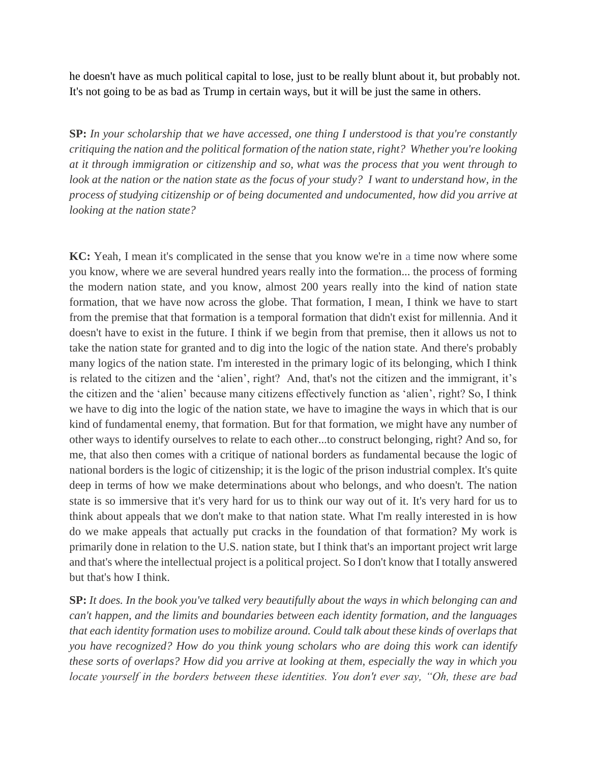he doesn't have as much political capital to lose, just to be really blunt about it, but probably not. It's not going to be as bad as Trump in certain ways, but it will be just the same in others.

**SP:** *In your scholarship that we have accessed, one thing I understood is that you're constantly critiquing the nation and the political formation of the nation state, right? Whether you're looking at it through immigration or citizenship and so, what was the process that you went through to*  look at the nation or the nation state as the focus of your study? I want to understand how, in the *process of studying citizenship or of being documented and undocumented, how did you arrive at looking at the nation state?*

**KC:** Yeah, I mean it's complicated in the sense that you know we're in a time now where some you know, where we are several hundred years really into the formation... the process of forming the modern nation state, and you know, almost 200 years really into the kind of nation state formation, that we have now across the globe. That formation, I mean, I think we have to start from the premise that that formation is a temporal formation that didn't exist for millennia. And it doesn't have to exist in the future. I think if we begin from that premise, then it allows us not to take the nation state for granted and to dig into the logic of the nation state. And there's probably many logics of the nation state. I'm interested in the primary logic of its belonging, which I think is related to the citizen and the 'alien', right? And, that's not the citizen and the immigrant, it's the citizen and the 'alien' because many citizens effectively function as 'alien', right? So, I think we have to dig into the logic of the nation state, we have to imagine the ways in which that is our kind of fundamental enemy, that formation. But for that formation, we might have any number of other ways to identify ourselves to relate to each other...to construct belonging, right? And so, for me, that also then comes with a critique of national borders as fundamental because the logic of national borders is the logic of citizenship; it is the logic of the prison industrial complex. It's quite deep in terms of how we make determinations about who belongs, and who doesn't. The nation state is so immersive that it's very hard for us to think our way out of it. It's very hard for us to think about appeals that we don't make to that nation state. What I'm really interested in is how do we make appeals that actually put cracks in the foundation of that formation? My work is primarily done in relation to the U.S. nation state, but I think that's an important project writ large and that's where the intellectual project is a political project. So I don't know that I totally answered but that's how I think.

**SP:** *It does. In the book you've talked very beautifully about the ways in which belonging can and can't happen, and the limits and boundaries between each identity formation, and the languages that each identity formation uses to mobilize around. Could talk about these kinds of overlaps that you have recognized? How do you think young scholars who are doing this work can identify these sorts of overlaps? How did you arrive at looking at them, especially the way in which you locate yourself in the borders between these identities. You don't ever say, "Oh, these are bad*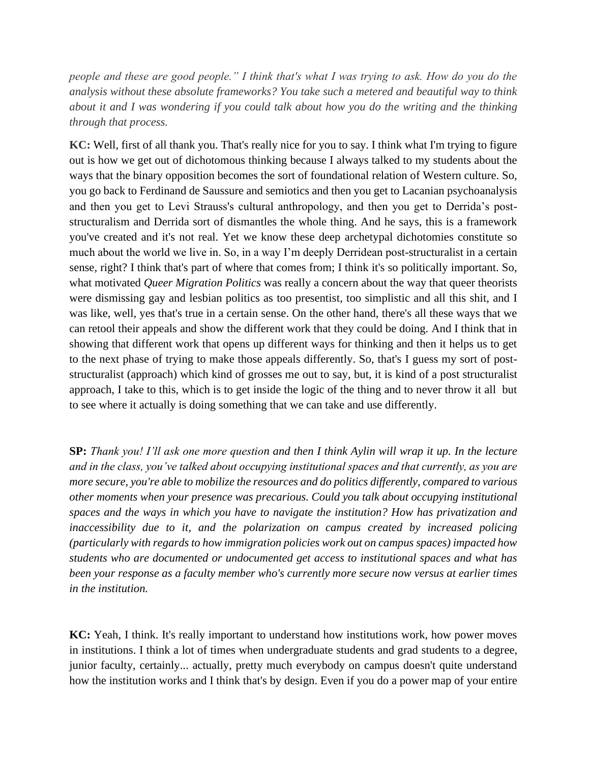*people and these are good people." I think that's what I was trying to ask. How do you do the analysis without these absolute frameworks? You take such a metered and beautiful way to think about it and I was wondering if you could talk about how you do the writing and the thinking through that process.*

**KC:** Well, first of all thank you. That's really nice for you to say. I think what I'm trying to figure out is how we get out of dichotomous thinking because I always talked to my students about the ways that the binary opposition becomes the sort of foundational relation of Western culture. So, you go back to Ferdinand de Saussure and semiotics and then you get to Lacanian psychoanalysis and then you get to Levi Strauss's cultural anthropology, and then you get to Derrida's poststructuralism and Derrida sort of dismantles the whole thing. And he says, this is a framework you've created and it's not real. Yet we know these deep archetypal dichotomies constitute so much about the world we live in. So, in a way I'm deeply Derridean post-structuralist in a certain sense, right? I think that's part of where that comes from; I think it's so politically important. So, what motivated *Queer Migration Politics* was really a concern about the way that queer theorists were dismissing gay and lesbian politics as too presentist, too simplistic and all this shit, and I was like, well, yes that's true in a certain sense. On the other hand, there's all these ways that we can retool their appeals and show the different work that they could be doing. And I think that in showing that different work that opens up different ways for thinking and then it helps us to get to the next phase of trying to make those appeals differently. So, that's I guess my sort of poststructuralist (approach) which kind of grosses me out to say, but, it is kind of a post structuralist approach, I take to this, which is to get inside the logic of the thing and to never throw it all but to see where it actually is doing something that we can take and use differently.

**SP:** *Thank you! I'll ask one more question and then I think Aylin will wrap it up. In the lecture and in the class, you've talked about occupying institutional spaces and that currently, as you are more secure, you're able to mobilize the resources and do politics differently, compared to various other moments when your presence was precarious. Could you talk about occupying institutional spaces and the ways in which you have to navigate the institution? How has privatization and inaccessibility due to it, and the polarization on campus created by increased policing (particularly with regards to how immigration policies work out on campus spaces) impacted how students who are documented or undocumented get access to institutional spaces and what has been your response as a faculty member who's currently more secure now versus at earlier times in the institution.*

**KC:** Yeah, I think. It's really important to understand how institutions work, how power moves in institutions. I think a lot of times when undergraduate students and grad students to a degree, junior faculty, certainly... actually, pretty much everybody on campus doesn't quite understand how the institution works and I think that's by design. Even if you do a power map of your entire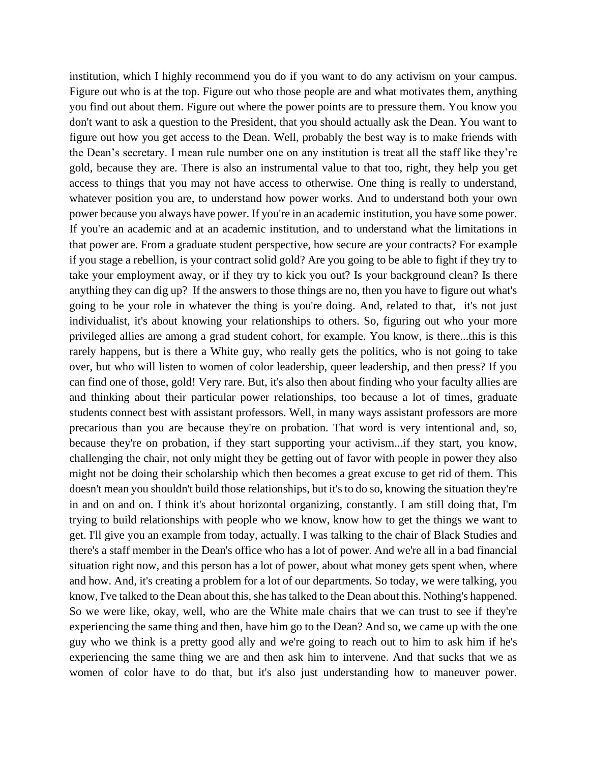institution, which I highly recommend you do if you want to do any activism on your campus. Figure out who is at the top. Figure out who those people are and what motivates them, anything you find out about them. Figure out where the power points are to pressure them. You know you don't want to ask a question to the President, that you should actually ask the Dean. You want to figure out how you get access to the Dean. Well, probably the best way is to make friends with the Dean's secretary. I mean rule number one on any institution is treat all the staff like they're gold, because they are. There is also an instrumental value to that too, right, they help you get access to things that you may not have access to otherwise. One thing is really to understand, whatever position you are, to understand how power works. And to understand both your own power because you always have power. If you're in an academic institution, you have some power. If you're an academic and at an academic institution, and to understand what the limitations in that power are. From a graduate student perspective, how secure are your contracts? For example if you stage a rebellion, is your contract solid gold? Are you going to be able to fight if they try to take your employment away, or if they try to kick you out? Is your background clean? Is there anything they can dig up? If the answers to those things are no, then you have to figure out what's going to be your role in whatever the thing is you're doing. And, related to that, it's not just individualist, it's about knowing your relationships to others. So, figuring out who your more privileged allies are among a grad student cohort, for example. You know, is there...this is this rarely happens, but is there a White guy, who really gets the politics, who is not going to take over, but who will listen to women of color leadership, queer leadership, and then press? If you can find one of those, gold! Very rare. But, it's also then about finding who your faculty allies are and thinking about their particular power relationships, too because a lot of times, graduate students connect best with assistant professors. Well, in many ways assistant professors are more precarious than you are because they're on probation. That word is very intentional and, so, because they're on probation, if they start supporting your activism...if they start, you know, challenging the chair, not only might they be getting out of favor with people in power they also might not be doing their scholarship which then becomes a great excuse to get rid of them. This doesn't mean you shouldn't build those relationships, but it's to do so, knowing the situation they're in and on and on. I think it's about horizontal organizing, constantly. I am still doing that, I'm trying to build relationships with people who we know, know how to get the things we want to get. I'll give you an example from today, actually. I was talking to the chair of Black Studies and there's a staff member in the Dean's office who has a lot of power. And we're all in a bad financial situation right now, and this person has a lot of power, about what money gets spent when, where and how. And, it's creating a problem for a lot of our departments. So today, we were talking, you know, I've talked to the Dean about this, she has talked to the Dean about this. Nothing's happened. So we were like, okay, well, who are the White male chairs that we can trust to see if they're experiencing the same thing and then, have him go to the Dean? And so, we came up with the one guy who we think is a pretty good ally and we're going to reach out to him to ask him if he's experiencing the same thing we are and then ask him to intervene. And that sucks that we as women of color have to do that, but it's also just understanding how to maneuver power.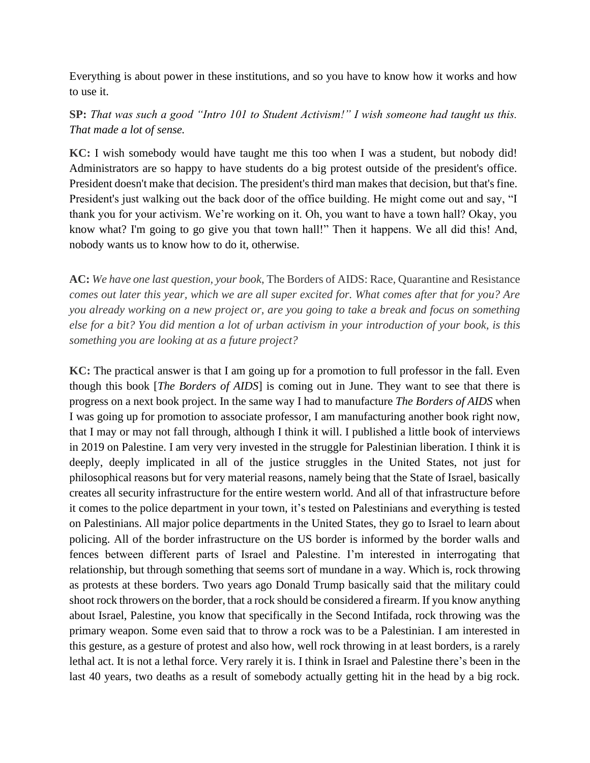Everything is about power in these institutions, and so you have to know how it works and how to use it.

## **SP:** *That was such a good "Intro 101 to Student Activism!" I wish someone had taught us this. That made a lot of sense.*

**KC:** I wish somebody would have taught me this too when I was a student, but nobody did! Administrators are so happy to have students do a big protest outside of the president's office. President doesn't make that decision. The president's third man makes that decision, but that's fine. President's just walking out the back door of the office building. He might come out and say, "I thank you for your activism. We're working on it. Oh, you want to have a town hall? Okay, you know what? I'm going to go give you that town hall!" Then it happens. We all did this! And, nobody wants us to know how to do it, otherwise.

**AC:** *We have one last question, your book*, The Borders of AIDS: Race, Quarantine and Resistance *comes out later this year, which we are all super excited for. What comes after that for you? Are you already working on a new project or, are you going to take a break and focus on something else for a bit? You did mention a lot of urban activism in your introduction of your book, is this something you are looking at as a future project?* 

**KC:** The practical answer is that I am going up for a promotion to full professor in the fall. Even though this book [*The Borders of AIDS*] is coming out in June. They want to see that there is progress on a next book project. In the same way I had to manufacture *The Borders of AIDS* when I was going up for promotion to associate professor, I am manufacturing another book right now, that I may or may not fall through, although I think it will. I published a little book of interviews in 2019 on Palestine. I am very very invested in the struggle for Palestinian liberation. I think it is deeply, deeply implicated in all of the justice struggles in the United States, not just for philosophical reasons but for very material reasons, namely being that the State of Israel, basically creates all security infrastructure for the entire western world. And all of that infrastructure before it comes to the police department in your town, it's tested on Palestinians and everything is tested on Palestinians. All major police departments in the United States, they go to Israel to learn about policing. All of the border infrastructure on the US border is informed by the border walls and fences between different parts of Israel and Palestine. I'm interested in interrogating that relationship, but through something that seems sort of mundane in a way. Which is, rock throwing as protests at these borders. Two years ago Donald Trump basically said that the military could shoot rock throwers on the border, that a rock should be considered a firearm. If you know anything about Israel, Palestine, you know that specifically in the Second Intifada, rock throwing was the primary weapon. Some even said that to throw a rock was to be a Palestinian. I am interested in this gesture, as a gesture of protest and also how, well rock throwing in at least borders, is a rarely lethal act. It is not a lethal force. Very rarely it is. I think in Israel and Palestine there's been in the last 40 years, two deaths as a result of somebody actually getting hit in the head by a big rock.